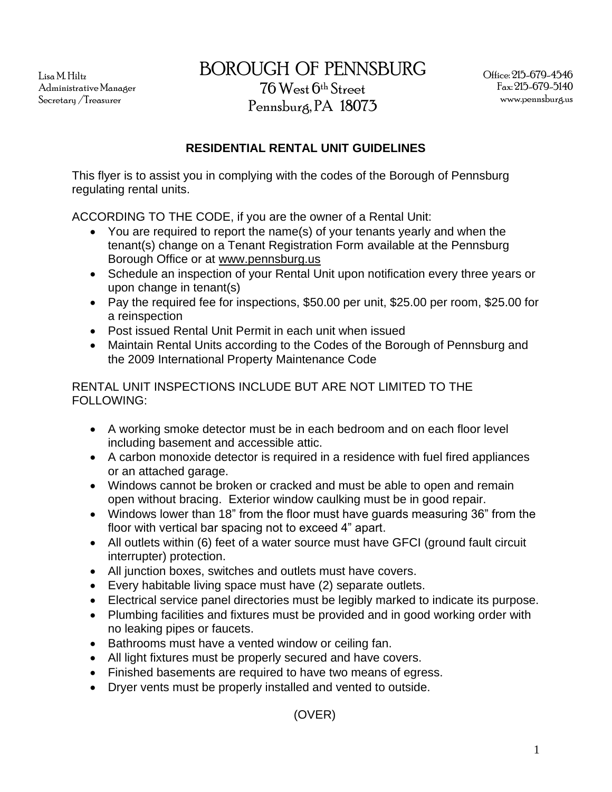Lisa M. Hiltz Administrative Manager Secretary /Treasurer

BOROUGH OF PENNSBURG

76 West 6th Street Pennsburg, PA 18073

## **RESIDENTIAL RENTAL UNIT GUIDELINES**

This flyer is to assist you in complying with the codes of the Borough of Pennsburg regulating rental units.

ACCORDING TO THE CODE, if you are the owner of a Rental Unit:

- You are required to report the name(s) of your tenants yearly and when the tenant(s) change on a Tenant Registration Form available at the Pennsburg Borough Office or at [www.pennsburg.us](http://www.pennsburg.us/)
- Schedule an inspection of your Rental Unit upon notification every three years or upon change in tenant(s)
- Pay the required fee for inspections, \$50.00 per unit, \$25.00 per room, \$25.00 for a reinspection
- Post issued Rental Unit Permit in each unit when issued
- Maintain Rental Units according to the Codes of the Borough of Pennsburg and the 2009 International Property Maintenance Code

## RENTAL UNIT INSPECTIONS INCLUDE BUT ARE NOT LIMITED TO THE FOLLOWING:

- A working smoke detector must be in each bedroom and on each floor level including basement and accessible attic.
- A carbon monoxide detector is required in a residence with fuel fired appliances or an attached garage.
- Windows cannot be broken or cracked and must be able to open and remain open without bracing. Exterior window caulking must be in good repair.
- Windows lower than 18" from the floor must have guards measuring 36" from the floor with vertical bar spacing not to exceed 4" apart.
- All outlets within (6) feet of a water source must have GFCI (ground fault circuit interrupter) protection.
- All junction boxes, switches and outlets must have covers.
- Every habitable living space must have (2) separate outlets.
- Electrical service panel directories must be legibly marked to indicate its purpose.
- Plumbing facilities and fixtures must be provided and in good working order with no leaking pipes or faucets.
- Bathrooms must have a vented window or ceiling fan.
- All light fixtures must be properly secured and have covers.
- Finished basements are required to have two means of egress.
- Dryer vents must be properly installed and vented to outside.